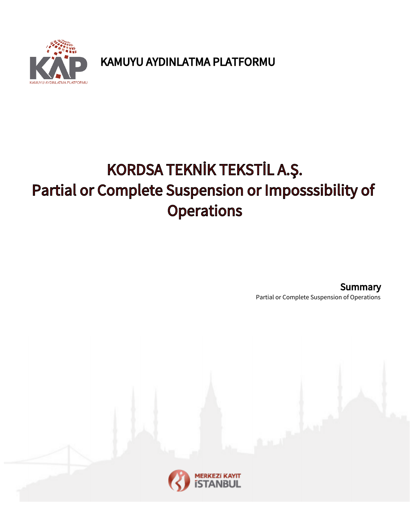

KAMUYU AYDINLATMA PLATFORMU

## KORDSA TEKNİK TEKSTİL A.Ş. Partial or Complete Suspension or Imposssibility of **Operations**

Partial or Complete Suspension of Operations **Summary** 

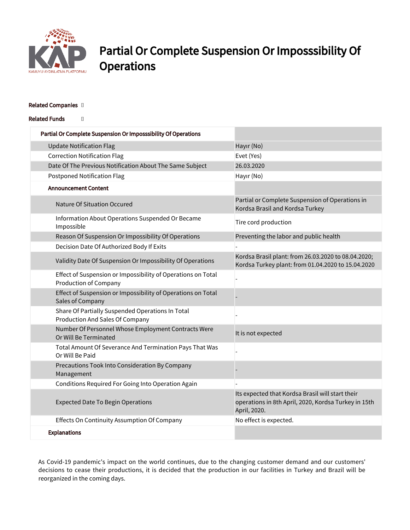

## Partial Or Complete Suspension Or Imposssibility Of **Operations**

## Related Companies []

Related Funds []

| Partial Or Complete Suspension Or Imposssibility Of Operations                               |                                                                                                                          |
|----------------------------------------------------------------------------------------------|--------------------------------------------------------------------------------------------------------------------------|
| <b>Update Notification Flag</b>                                                              | Hayır (No)                                                                                                               |
| <b>Correction Notification Flag</b>                                                          | Evet (Yes)                                                                                                               |
| Date Of The Previous Notification About The Same Subject                                     | 26.03.2020                                                                                                               |
| <b>Postponed Notification Flag</b>                                                           | Hayır (No)                                                                                                               |
| <b>Announcement Content</b>                                                                  |                                                                                                                          |
| Nature Of Situation Occured                                                                  | Partial or Complete Suspension of Operations in<br>Kordsa Brasil and Kordsa Turkey                                       |
| Information About Operations Suspended Or Became<br>Impossible                               | Tire cord production                                                                                                     |
| Reason Of Suspension Or Impossibility Of Operations                                          | Preventing the labor and public health                                                                                   |
| Decision Date Of Authorized Body If Exits                                                    |                                                                                                                          |
| Validity Date Of Suspension Or Impossibility Of Operations                                   | Kordsa Brasil plant: from 26.03.2020 to 08.04.2020;<br>Kordsa Turkey plant: from 01.04.2020 to 15.04.2020                |
| Effect of Suspension or Impossibility of Operations on Total<br><b>Production of Company</b> |                                                                                                                          |
| Effect of Suspension or Impossibility of Operations on Total<br>Sales of Company             |                                                                                                                          |
| Share Of Partially Suspended Operations In Total<br>Production And Sales Of Company          |                                                                                                                          |
| Number Of Personnel Whose Employment Contracts Were<br>Or Will Be Terminated                 | It is not expected                                                                                                       |
| Total Amount Of Severance And Termination Pays That Was<br>Or Will Be Paid                   |                                                                                                                          |
| Precautions Took Into Consideration By Company<br>Management                                 |                                                                                                                          |
| Conditions Required For Going Into Operation Again                                           |                                                                                                                          |
| <b>Expected Date To Begin Operations</b>                                                     | Its expected that Kordsa Brasil will start their<br>operations in 8th April, 2020, Kordsa Turkey in 15th<br>April, 2020. |
| Effects On Continuity Assumption Of Company                                                  | No effect is expected.                                                                                                   |
| <b>Explanations</b>                                                                          |                                                                                                                          |

As Covid-19 pandemic's impact on the world continues, due to the changing customer demand and our customers' decisions to cease their productions, it is decided that the production in our facilities in Turkey and Brazil will be reorganized in the coming days.